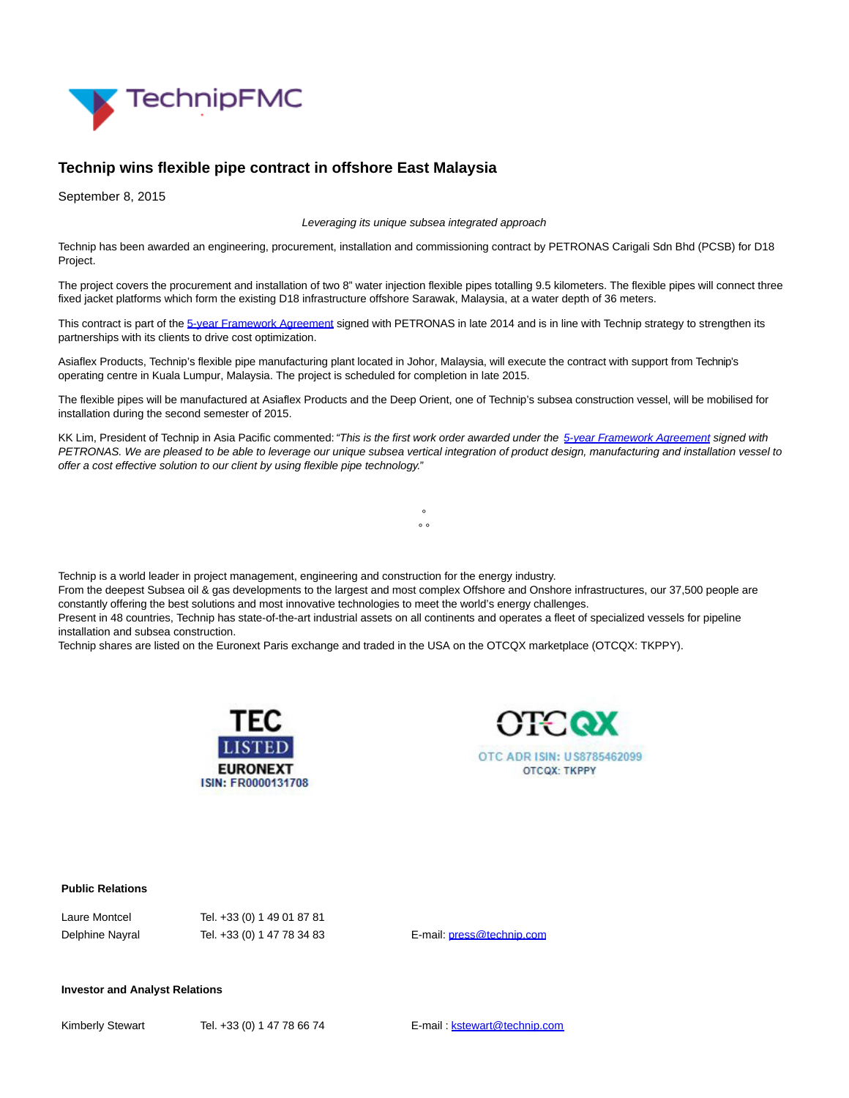

## **Technip wins flexible pipe contract in offshore East Malaysia**

September 8, 2015

Leveraging its unique subsea integrated approach

Technip has been awarded an engineering, procurement, installation and commissioning contract by PETRONAS Carigali Sdn Bhd (PCSB) for D18 Project.

The project covers the procurement and installation of two 8" water injection flexible pipes totalling 9.5 kilometers. The flexible pipes will connect three fixed jacket platforms which form the existing D18 infrastructure offshore Sarawak, Malaysia, at a water depth of 36 meters.

This contract is part of the [5-year Framework Agreement s](http://www.technip.com/en/press/petronas-awards-technip-flexible-pipe-framework-agreement)igned with PETRONAS in late 2014 and is in line with Technip strategy to strengthen its partnerships with its clients to drive cost optimization.

Asiaflex Products, Technip's flexible pipe manufacturing plant located in Johor, Malaysia, will execute the contract with support from Technip's operating centre in Kuala Lumpur, Malaysia. The project is scheduled for completion in late 2015.

The flexible pipes will be manufactured at Asiaflex Products and the Deep Orient, one of Technip's subsea construction vessel, will be mobilised for installation during the second semester of 2015.

KK Lim, President of Technip in Asia Pacific commented: "This is the first work order awarded under the [5-year Framework Agreement s](http://www.technip.com/en/press/petronas-awards-technip-flexible-pipe-framework-agreement)igned with PETRONAS. We are pleased to be able to leverage our unique subsea vertical integration of product design, manufacturing and installation vessel to offer a cost effective solution to our client by using flexible pipe technology."

> °  $\sim$   $\sim$

Technip is a world leader in project management, engineering and construction for the energy industry.

From the deepest Subsea oil & gas developments to the largest and most complex Offshore and Onshore infrastructures, our 37,500 people are constantly offering the best solutions and most innovative technologies to meet the world's energy challenges.

Present in 48 countries, Technip has state-of-the-art industrial assets on all continents and operates a fleet of specialized vessels for pipeline installation and subsea construction.

Technip shares are listed on the Euronext Paris exchange and traded in the USA on the OTCQX marketplace (OTCQX: TKPPY).





## **Public Relations**

| Laure Montcel   |
|-----------------|
| Delphine Nayral |

Tel. +33 (0) 1 49 01 87 81 Tel. +33 (0) 1 47 78 34 83 E-mail: [press@technip.com](mailto:press@technip.com)

## **Investor and Analyst Relations**